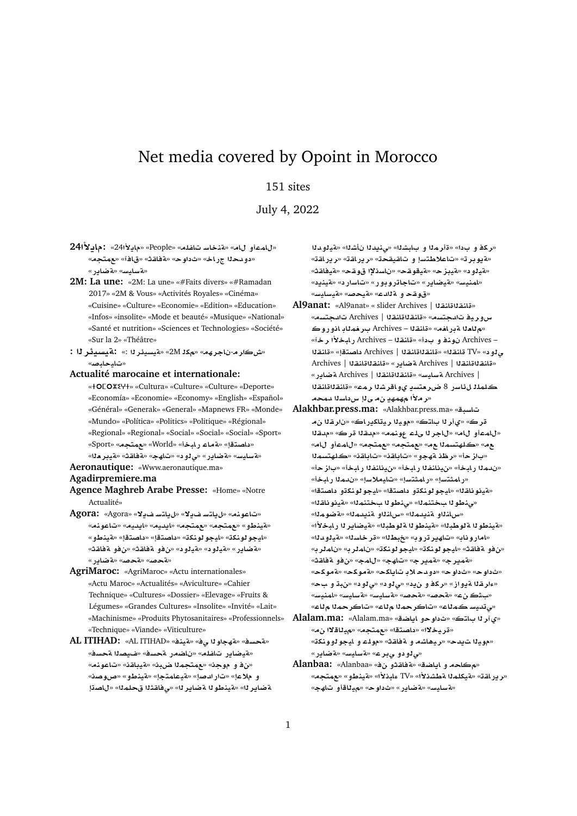# Net media covered by Opoint in Morocco

# 151 sites

July 4, 2022

- **24±§A:** «24**±§A**» «People» «**lfA FAnT**» «**A ¤mA**» «<mark>دو دحلل ج ر اخ» «ثداو ح» «4فاقث» «ق</mark>افآ» «عمتجم» «**A» «بة ضاير»**
- **2M: La une:** «2M: La une» «#Faits divers» «#Ramadan 2017» «2M & Vous» «Activités Royales» «Cinéma» «Cuisine» «Culture» «Economie» «Edition» «Education» «Infos» «insolite» «Mode et beauté» «Musique» «National» «Santé et nutrition» «Sciences et Technologies» «Société» «Sur la 2» «Théâtre»
- **: r¶ysyT:** «: **r¶ysyT**» «2M **k**» «**hrA** -**rL**» «تباييدايي»
- **Actualité marocaine et internationale:**
	- « » «Cultura» «Culture» «Culture» «Deporte» «Economía» «Economie» «Economy» «English» «Español» «Général» «Generak» «General» «Mapnews FR» «Monde» «Mundo» «Política» «Politics» «Politique» «Régional» «Regional» «Regional» «Social» «Social» «Social» «Sport» «داصتقإ» «**ماء رابخأ» «World» «جمتجه» «Sport»** «**A» «بايس» «aتاير» «ي 1و د» «تاھج» «aقاقث» «هيبر دل**ه»

## **Aeronautique:** «Www.aeronautique.ma»

#### **Agadirpremiere.ma**

- **Agence Maghreb Arabe Presse:** «Home» «Notre Actualité»
- **Agora:** «Agora» «**¯§ FtA§**» «**¯§ FtA§**» «**nwA**» «**nwA**» «**yd§A**» «**yd§A**» «**tm**» «**tm**» «**¤VnyT**» «**ايجو لونك**ڌ» «ل**يجو لونك**ڌ» «داصتقإ» «لينظو» « «aتضاير» «هيلود» «هيلود» «**ن**فو مقاقت» «نفو مقاقته» «**C§ART**» «**}T**» «**}T**»
- **AgriMaroc:** «AgriMaroc» «Actu internationales» «Actu Maroc» «Actualités» «Aviculture» «Cahier Technique» «Cultures» «Dossier» «Elevage» «Fruits & Légumes» «Grandes Cultures» «Insolite» «Invité» «Lait» «Machinisme» «Produits Phytosanitaires» «Professionnels» «Technique» «Viande» «Viticulture»
- **AL ITIHAD:** «AL ITIHAD» «**nyT**» «**¨ whT**» «**sT**» «متيضاير تاغله» «ناضمر مجسف» «*فيصدا مجس*ف» «من في موجن» «مهمتجملا ضيد» «مقيباقنه «تاعونه» «**OwQ**» «**¤VnyT**» «**tmAyT**» «**}dC**» «**® ¤ OA**» «**ml qA¨**» «**r§ART wVnyT**» «**r§ART**

«ركفو بدا» «ةأرمذا و بابشذا» «ينيدنا نأشذا» «**مقي**لودنا «<mark>ةيوبر ت</mark>» «تاعلاطتسإ و تاقيقحت» «ريراقته» «ريراقته» «**qAyT**» «**qw ³sA** » «**qwyT**» «**zyT**» « **¤yT**» «امنيس» «قيضاير» «تاجاتروبور» «تاسارد» «قينيد» «قوقح و قلدع» «قيحصه «قيسليس»

- **Al9anat:** «Al9anat» « slider Archives | **qnAqnA**» س و ري**ف تلدجتسم» «ةلنقلااةانقلا | Archives تلدجتسم»** «م **للعـل**ا a بـر افـهـ» «قانـقـلـا – Archives بـر فـهـلـابـ اذو ر و كـ «**r ±bAC** Archives – **qnA**» « **¤ nw**  Archives – **qnA**» «**tOA** Archives | **qnAqnA**» «**qnA** TV» « **¤¨** Archives | **qnAqnA**» «**C§ART** Archives | **qnAqnA**» «**C§ART** Archives | **qnAqnA**» «**FyAFT** Archives | كلملا للأاسر 8 ضر متسدٍ يواقرشلا رمه» «قانقلااقانقلا «ر ملأا مهمهدٍ نم *ي* ناٍ س داسنا دمحهـ
- **Alakhbar.press.ma:** «Alakhbar.press.ma» «**bsA** قر ڪ» «يiر 11 با**تڪ» «مو**يـ11 ريـتاکير اڪ» «نار قـ11 نم «للمعأو لله» «للجر للملاء عونمه» «ملقلا قرك» «ملقلا ـع مـ» «كـلهتسمـلـ ـع مـ» «معمتجم» «معمتجم» «لLمك» . «باز حـأ» «رظذ ةهجو» «تـاباقـن» «تـاباقـن» «كـلهـتسمـلا «ندمـ1ا رـابـخـأ» «ن.يـنـانـفـ1ا رـابـخـأ» «بـاز حـأ» «رامثتسإ» «رامثتسإ» «تايملاسإ» «ندم**ن**ا رابخأ» «قينو ناق<sup>ر</sup>ا» «ايجو لونكتو داصتقا» «ايجو لونكتو داصتقا» «منطولا بختنملا» «منطولا بختنملا» «**مّينونا**لقلا» «**سlن**ـُناو قنيدمـُنا» «سlنـُناو قنيدمـُنا» «قضومـُنا» «هينطو 1ا a<sup>t</sup>لوطينا» «هينطو 1ا aّلوطينا» «هيضاير 1ا ر ايخلاًا» «امار وناب» «تاهير تروب» «خبطله» «قر خاسله» «مقيلو دله» «من فو ة فاقتْ» «ليجو لونكة» «ليجو لونكة» «ناملر به» «ناملر به «**qAT ¤**» «**mA**» «**hA**» «**r§mT**» «**r§mT**» «**kwT**» «**kwT**» «**kA§A ® d¤** » «**w** » «**w** » «عار قذا ةيو از » «ركذ و ن2يه» «ى لود» «ى لود» «ن4ت و بحه «**FynmA**» «**FyAFT**» «**FyAFT**» «**}T**» «**}T**» «» «م تديسكمناع» «تاكر حمنا مناع» «تاكر حمنا مناع»
- **Alalam.ma:** «Alalam.ma» «**SA§A ¤w** » «**tA r©**» «قريخلاا» «داصتقا» «مهتجم» «ميللقلاا نم» «موي**ن**ا ت<sub>ا</sub>يدح» «ريهاشه و ةفاقث» «مولم و ايجو لوونكة» «**ی نو دو ی بر ع» «ة سایس» «ة ضایر**»
- **Alanbaa:** «Alanbaa» « **¤qAT**» «**SA§A ¤ A**» «ر ير اقـة» «فيكلمـلـا <mark>ةطشـنـلاً» «TV» «بانـلاً» «مقبطو» «عمـتجم»</mark> «هسايس» «**مقاير» «ثداو ح» «ميناقأو تاھج**»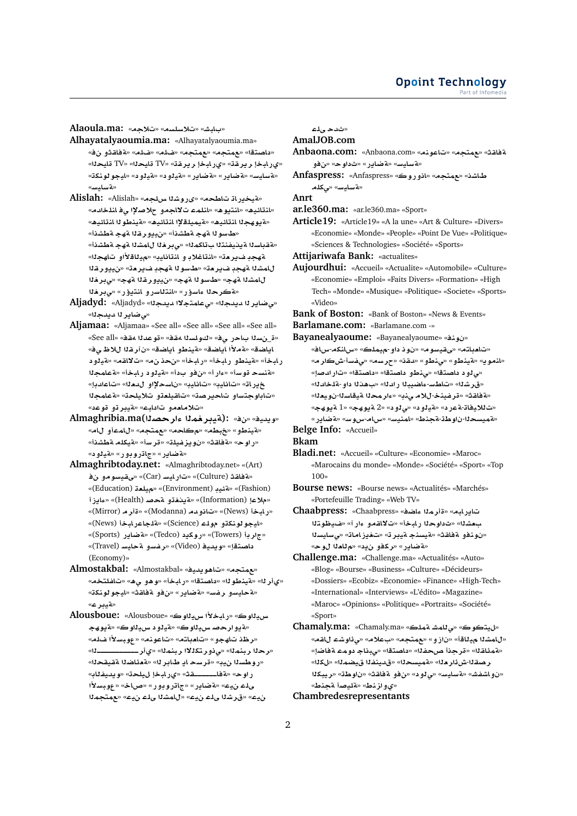**Alaoula.ma:** «**®**» «**sls®**» «**JbA** »

- **Alhayatalyaoumia.ma:** «Alhayatalyaoumia.ma» «داصتقا» «مهمتجه» «مهمتجه» «ضله» «شله» «<mark>4فاق</mark>ثو نف» «ي رابخإ رير قة» «ي رابخإ رير قة» «TV قايح<mark>دا» «TV قايح</mark>دا» «**knwwyA**» « **¤yT**» « **¤yT**» «**C§ART**» «**C§ART**» «**FyAFT**» «**بة سا**لمس»
- «هتيخيرات تاطحه» «ي روشنا سلجه» «Alislah: «Alislah» «المقائيك» «المقوه» «الملمات لااجمو حلاصلإا ي فالملخاليم» «<mark>4 يو هجلا انت</mark>ائيم» «ةيميلقلإا انتائيم» «ةينطو لا انتائيم» «**طسو ل**ا مةج مقطشذأ» «نييور قـ11 مقج مقطشذأ» «القباسلا القينيفنتلا بتاكملل» «ي.بر.فلا للمشلا القهجا الطشن<sup>ة</sup>» ةهجدٍ ضير منّ» «لنتاغلادٍ و انتانايدٍ» «ميناقلأاو تاهجل<sup>ٍ</sup>» للمشنا ةهجد فير مت<sup>»</sup> «طسونا ةهجد فيرمت» «نييورغنا **r¨**» «**hT qr¤§y**» «**hT wFX**» «**hT KmA** «a¨كرحلا ءاسؤر» «انتلاسرو انتيؤر» «ىبرخلا
- **Aljadyd:** «Aljadyd» «**d§d ¯tmA¨**» «**d§d r§AR¨**» «*مى ض*اير لا ديدجلا»
- **Aljamaa:** «Aljamaa» «See all» «See all» «See all» «See all» «ة\_نسلا بـاحر يف» «كـولسـلا مقف» «قوعدلا مقف» «See all» اياضق» «مةملأا اياضة» «م*تي*نطو اياضة» «ن *آر*قلا للاظىف» رابخاً» «فينطو رابخاً» «رابخاً» «نحذ نα» «تلااقه» «فيلود «**فنسح قوساْ» «ءاراْ» «نفو بداْ» «فيلود رابخاْ» «فعامجلا** «**dA**» «**`d ¤³sA** » «**yAA**» «**yAA**» «**AC§** «تاباوجتساو تاحيرصة» «تاقيلع**تو تلايلح**ة» «ةعامجلا «تلاماممو تاداب<sup>ي» «</sup>قيبر تو قوعد»
- **Almaghribia.ma(Orº mryT):** «» «**yd§w**» «هينطو» «**خبطه» «مكلحه» «عمتجه» «للمعاو لل**ه» «**KWT lkyT**» «**Fr**» «**lyfz§w** » «**qAT**» «**wC**» «**تهضاير»** «جاتروبور» «قيلود»
- **Almaghribtoday.net:** «Almaghribtoday.net» «(Art)  **¤wFyqY**» «(Car) **FyAC**» «(Culture) **qAT**» «(Education) **`ly**» «(Environment) **y·T**» «(Fashion) **E§Aº**» «(Health) **}T ¤@§T**» «(Information) **®**» «(Mirror) **r**» «(Modanna) **d¤A**» «(News) **bAC**» «ا**يجو لونكتو مول**ـّد (Science)» «قلـجـاعر\_ابـخـأ (News)» «(Sports) **C§ART**» «(Tedco) **§kwC**» «(Towers) **r**» «(Travel) **FyAT ¤Ffr**» «(Video) **yd§w**» «**tOA**  (Economy)»
- **Almostakbal:** «Almostakbal» «**yd§w¡A**» «**tm**» «ىأر لل<sup>» «</sup>فينطو لل» «داصتقل» «رابخأ» «و هو ي ه» «تافلتخه» «**لقحايسو رفس» «aغاير» «نفو قفاقث» «ليجو لونك**ة» «**تيبر ع**»
- **Alousboue:** «Alousboue» «**wyH ±bAC**» «**wyH** «هيوار *حصا سيداو ڪ»* «هيدو داسيداو ڪ» «هيو هج «**ر ظذ تاهجو» «تامباته» «تاعونه» «عوبسلاًا ضله»** «**þþþþþþþþþþþr©**» «**mnbr ¯ktr¤¨**» «**mnbr r**» «روطسنا نيب» «قرسح أيا طابر لل<sup>» «</sup>قعنَاضنا ققيقحنا» راوح» «**قفاــــــقث» «ىرابخإ ل**ىيلحة» «ويديفناب» **±Fbw**» «**AQ**» «**C¤wCA**» «**C§ART**» «**y lY mtm**» «**y lY KmA**» «**y lY Kr**» «**y**

«ث*دحی*لء

**AmalJOB.com**

- **Anbaona.com:** «Anbaona.com» «**nwA**» «**tm**» «**qAT ¤**» «**w** » «**C§ART**» «**FyAFT**»
- **Anfaspress:** «Anfaspress» «**wC¤A**» «**tm**» «**KAª lk¨**» «**FyAFT**»

**Anrt**

**ar.le360.ma:** «ar.le360.ma» «Sport»

**Article19:** «Article19» «A la une» «Art & Culture» «Divers» «Economie» «Monde» «People» «Point De Vue» «Politique» «Sciences & Technologies» «Société» «Sports»

**Attijariwafa Bank:** «actualites»

**Aujourdhui:** «Accueil» «Actualite» «Automobile» «Culture» «Economie» «Emploi» «Faits Divers» «Formation» «High Tech» «Monde» «Musique» «Politique» «Societe» «Sports» «Video»

**Bank of Boston:** «Bank of Boston» «News & Events» **Barlamane.com:** «Barlamane.com -»

**Bayanealyaoume:** «Bayanealyaoume» «**nw** »

- «**Ax**-**knAx**» «**lmy**-**¤ w** » «**wFyqY**» «**tA`A**» «**ان**موي» «متينطو» «بينطو» «دقنه «جرسه» «بيفسأ-شكار مه «مى لود داصتقا» «مى نطو داصتقا» «داصتقا» «تار ادصا**ٍ»** «قرشله» «تاط*س-عا*ضيبلا رادله» «بهنلا داو-ةلخادله» «مة فاقث» «قر فينخ-للام ىنب» «ءار محلا متيقاسلا-نويعلله» «**hw§T** 1» «**hw§T** 2» « **¤¨**» « **¤yT**» « **CT**-**Ay®** » «**C§ART**» «**Fwx**-**Ax**» «**FynmA**» «**VnT**-**Ww** -**symT**»
- **Belge Info:** «Accueil»

**Bkam**

- **Bladi.net:** «Accueil» «Culture» «Economie» «Maroc» «Marocains du monde» «Monde» «Société» «Sport» «Top 100»
- **Bourse news:** «Bourse news» «Actualités» «Marchés» «Portefeuille Trading» «Web TV»
- **Chaabpress:** «Chaabpress» «**SAº mr**» «**bAC§A** بعشله» «ثداوحلا رابخاً» «تلااقمو ءار آ» «ضيظوتلا «نونفو ةفاقث» «**ميسنج ميبر ت» «تغيزامات» «ي**سليسنا «**مة ضاير» «ركفو نيد» «م**للعلا لوح»
- **Challenge.ma:** «Challenge.ma» «Actualités» «Auto» «Blog» «Bourse» «Business» «Culture» «Décideurs» «Dossiers» «Ecobiz» «Economie» «Finance» «High-Tech» «International» «Interviews» «L'édito» «Magazine» «Maroc» «Opinions» «Politique» «Portraits» «Société» «Sport»
- **Chamaly.ma:** «Chamaly.ma» «**lmT JmA¨**» «**wty**» «**qA Kw¶¨**» «**®** » «**tm**» «**¤E** » «**Ay KmA**» «لمَمَنْاقـلا» «قرجـذأ صحفـلاً» «<mark>داصتقا» «ي.بناج دو</mark>مـّ فاضل<sup>ٍ»</sup> «**k**» «**mSy fnyd**» «**symT**» «**`r¶L**-**qOr kbyr**» «**Ww** » «**qAT ¤**» « **¤¨**» «**FyAFT**» «**JfKA¤** » «**VnT }ylT**» «**Vnz¤©**»

**Chambredesrepresentants**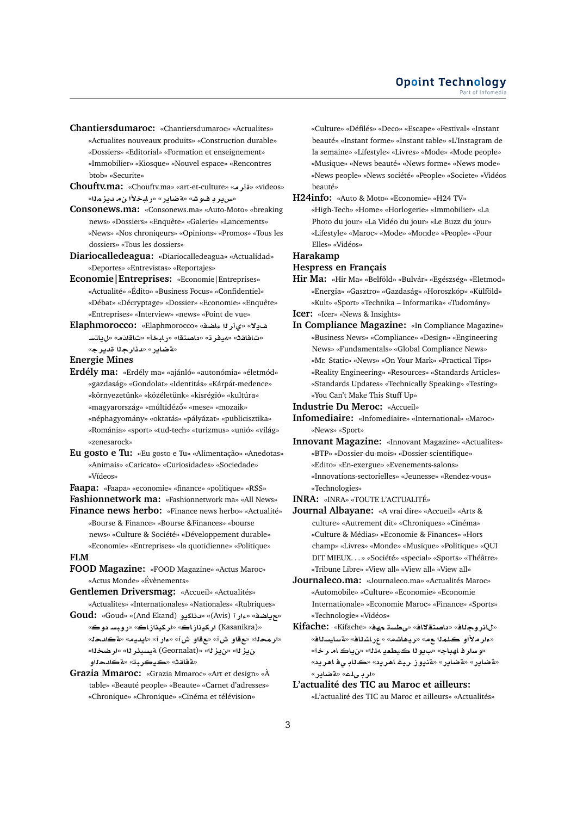**Chantiersdumaroc:** «Chantiersdumaroc» «Actualites» «Actualites nouveaux produits» «Construction durable» «Dossiers» «Editorial» «Formation et enseignement» «Immobilier» «Kiosque» «Nouvel espace» «Rencontres btob» «Securite»

**Chouftv.ma:** «Chouftv.ma» «art-et-culture» «**r**» «videos» «**س**ریر د فوش» «aغیایر » «ر ایخلاً ا ن م دیز مِلاً»

**Consonews.ma:** «Consonews.ma» «Auto-Moto» «breaking news» «Dossiers» «Enquête» «Galerie» «Lancements» «News» «Nos chroniqeurs» «Opinions» «Promos» «Tous les dossiers» «Tous les dossiers»

**Diariocalledeagua:** «Diariocalledeagua» «Actualidad» «Deportes» «Entrevistas» «Reportajes»

**Economie|Entreprises:** «Economie|Entreprises» «Actualité» «Édito» «Business Focus» «Confidentiel» «Débat» «Décryptage» «Dossier» «Economie» «Enquête» «Entreprises» «Interview» «news» «Point de vue»

**Elaphmorocco:** «Elaphmorocco» «**SAº r©**» «**¯§** «تافاقث» «ميفر ته «داصتقا» «رابخأ» «تاقانام» «لµاتسـ «**تة ضاير » «دئار ج**لا قدير جه

**Energie Mines**

- **Erdély ma:** «Erdély ma» «ajánló» «autonómia» «életmód» «gazdaság» «Gondolat» «Identitás» «Kárpát-medence» «környezetünk» «közéletünk» «kisrégió» «kultúra» «magyarország» «múltidéző» «mese» «mozaik» «néphagyomány» «oktatás» «pályázat» «publicisztika» «Románia» «sport» «tud-tech» «turizmus» «unió» «világ» «zenesarock»
- **Eu gosto e Tu:** «Eu gosto e Tu» «Alimentação» «Anedotas» «Animais» «Caricato» «Curiosidades» «Sociedade» «Vídeos»

**Faapa:** «Faapa» «economie» «finance» «politique» «RSS» **Fashionnetwork ma:** «Fashionnetwork ma» «All News»

**Finance news herbo:** «Finance news herbo» «Actualité» «Bourse & Finance» «Bourse &Finances» «bourse news» «Culture & Société» «Développement durable» «Economie» «Entreprises» «la quotidienne» «Politique»

## **FLM**

**FOOD Magazine:** «FOOD Magazine» «Actus Maroc» «Actus Monde» «Évènements»

**Gentlemen Driversmag:** «Accueil» «Actualités» «Actualites» «Internationales» «Nationales» «Rubriques»

**Goud:** «Goud» «(And Ekand) **¤§kAd**» «(Avis) **Cº**» «**SA§**» «**w FbwC**» «**AEykr**» «**AEykr** (Kasanikra)» «<mark>ار محـ1</mark>ا» «ع قاو ش آ» «ع قاو ش آ» «ءار آ» «ايديه» «a <mark>ڪادح</mark>له» «**Sr**» «**r¶ysyT** (Geornalat)» «**z§**» «**z§** «**ةفاقث» «ڪيڪرب**ڌ» «<mark>&ڪا</mark>لمحلااو

**Grazia Mmaroc:** «Grazia Mmaroc» «Art et design» «À table» «Beauté people» «Beaute» «Carnet d'adresses» «Chronique» «Chronique» «Cinéma et télévision»

«Culture» «Défilés» «Deco» «Escape» «Festival» «Instant beauté» «Instant forme» «Instant table» «L'Instagram de la semaine» «Lifestyle» «Livres» «Mode» «Mode people» «Musique» «News beauté» «News forme» «News mode» «News people» «News société» «People» «Societe» «Vidéos beauté»

**H24info:** «Auto & Moto» «Economie» «H24 TV» «High-Tech» «Home» «Horlogerie» «Immobilier» «La Photo du jour» «La Vidéo du jour» «Le Buzz du jour» «Lifestyle» «Maroc» «Mode» «Monde» «People» «Pour Elles» «Vidéos»

**Harakamp**

**Hespress en Français**

**Hir Ma:** «Hir Ma» «Belföld» «Bulvár» «Egészség» «Eletmod» «Energia» «Gasztro» «Gazdaság» «Horoszkóp» «Külföld» «Kult» «Sport» «Technika – Informatika» «Tudomány»

**Icer:** «Icer» «News & Insights»

**In Compliance Magazine:** «In Compliance Magazine» «Business News» «Compliance» «Design» «Engineering News» «Fundamentals» «Global Compliance News» «Mr. Static» «News» «On Your Mark» «Practical Tips» «Reality Engineering» «Resources» «Standards Articles» «Standards Updates» «Technically Speaking» «Testing» «You Can't Make This Stuff Up»

**Industrie Du Meroc:** «Accueil»

- **Infomediaire:** «Infomediaire» «International» «Maroc» «News» «Sport»
- **Innovant Magazine:** «Innovant Magazine» «Actualites» «BTP» «Dossier-du-mois» «Dossier-scientifique» «Edito» «En-exergue» «Evenements-salons» «Innovations-sectorielles» «Jeunesse» «Rendez-vous» «Technologies»

**INRA:** «INRA» «TOUTE L'ACTUALITÉ»

- **Journal Albayane:** «A vrai dire» «Accueil» «Arts & culture» «Autrement dit» «Chroniques» «Cinéma» «Culture & Médias» «Economie & Finances» «Hors champ» «Livres» «Monde» «Musique» «Politique» «QUI DIT MIEUX. . . » «Société» «special» «Sports» «Théâtre» «Tribune Libre» «View all» «View all» «View all»
- **Journaleco.ma:** «Journaleco.ma» «Actualités Maroc» «Automobile» «Culture» «Economie» «Economie Internationale» «Economie Maroc» «Finance» «Sports» «Technologie» «Vidéos»
- **Kifache:** «Kifache» «**h sWY**» «**A¯tOA** » «**AwCA**» «<mark>مار ملأاو كلم</mark>نا ـم» «ريـهاشم» «عرباشناف» «4سايسناف» «و سار فاھڊاج» «ب1**يو ڻا ڪيطعي 14ن**ا» «ن<mark>ياڪام رخآ»</mark> «**ةضاير» «ةضاير» «ةنيوز ري**غ اهريد» «ڪڻاڊ <sub>ڪ</sub>ف اهريد» «ار ب*ـی*لـه» «**قضایر**»

**L'actualité des TIC au Maroc et ailleurs:** «L'actualité des TIC au Maroc et ailleurs» «Actualités»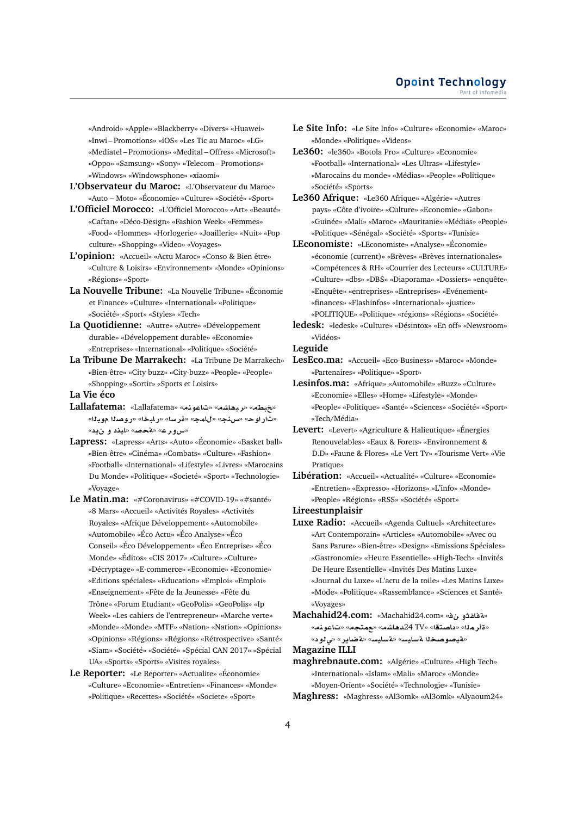«Android» «Apple» «Blackberry» «Divers» «Huawei» «Inwi – Promotions» «iOS» «Les Tic au Maroc» «LG» «Mediatel – Promotions» «Medital – Offres» «Microsoft» «Oppo» «Samsung» «Sony» «Telecom – Promotions» «Windows» «Windowsphone» «xiaomi»

- **L'Observateur du Maroc:** «L'Observateur du Maroc» «Auto – Moto» «Économie» «Culture» «Société» «Sport»
- **L'Officiel Morocco:** «L'Officiel Morocco» «Art» «Beauté» «Caftan» «Déco-Design» «Fashion Week» «Femmes» «Food» «Hommes» «Horlogerie» «Joaillerie» «Nuit» «Pop culture» «Shopping» «Video» «Voyages»
- **L'opinion:** «Accueil» «Actu Maroc» «Conso & Bien être» «Culture & Loisirs» «Environnement» «Monde» «Opinions» «Régions» «Sport»
- **La Nouvelle Tribune:** «La Nouvelle Tribune» «Économie et Finance» «Culture» «International» «Politique» «Société» «Sport» «Styles» «Tech»
- **La Quotidienne:** «Autre» «Autre» «Développement durable» «Développement durable» «Economie» «Entreprises» «International» «Politique» «Société»
- **La Tribune De Marrakech:** «La Tribune De Marrakech» «Bien-être» «City buzz» «City-buzz» «People» «People» «Shopping» «Sortir» «Sports et Loisirs»
- **La Vie éco**
- Lallafatema: «Lallafatema» «تاعونه» «Eallafatema «تار اوح» «سنذج» «<mark>للمج» «قر سل» «ربابخا» «روص</mark>لا موبل<sup>ل</sup>» «**سورع» «ةحصه» «ايذد و ن**يد»
- **Lapress:** «Lapress» «Arts» «Auto» «Économie» «Basket ball» «Bien-être» «Cinéma» «Combats» «Culture» «Fashion» «Football» «International» «Lifestyle» «Livres» «Marocains Du Monde» «Politique» «Societé» «Sport» «Technologie» «Voyage»
- **Le Matin.ma:** «#Coronavirus» «#COVID-19» «#santé» «8 Mars» «Accueil» «Activités Royales» «Activités Royales» «Afrique Développement» «Automobile» «Automobile» «Éco Actu» «Éco Analyse» «Éco Conseil» «Éco Développement» «Éco Entreprise» «Éco Monde» «Éditos» «CIS 2017» «Culture» «Culture» «Décryptage» «E-commerce» «Economie» «Economie» «Editions spéciales» «Education» «Emploi» «Emploi» «Enseignement» «Fête de la Jeunesse» «Fête du Trône» «Forum Etudiant» «GeoPolis» «GeoPolis» «Ip Week» «Les cahiers de l'entrepreneur» «Marche verte» «Monde» «Monde» «MTF» «Nation» «Nation» «Opinions» «Opinions» «Régions» «Régions» «Rétrospective» «Santé» «Siam» «Société» «Société» «Spécial CAN 2017» «Spécial UA» «Sports» «Sports» «Visites royales»
- **Le Reporter:** «Le Reporter» «Actualite» «Économie» «Culture» «Economie» «Entretien» «Finances» «Monde» «Politique» «Recettes» «Société» «Societe» «Sport»
- **Le Site Info:** «Le Site Info» «Culture» «Economie» «Maroc» «Monde» «Politique» «Videos»
- **Le360:** «le360» «Botola Pro» «Culture» «Economie» «Football» «International» «Les Ultras» «Lifestyle» «Marocains du monde» «Médias» «People» «Politique» «Société» «Sports»
- **Le360 Afrique:** «Le360 Afrique» «Algérie» «Autres pays» «Côte d'ivoire» «Culture» «Economie» «Gabon» «Guinée» «Mali» «Maroc» «Mauritanie» «Médias» «People» «Politique» «Sénégal» «Société» «Sports» «Tunisie»
- **LEconomiste:** «LEconomiste» «Analyse» «Économie» «économie (current)» «Brèves» «Brèves internationales» «Compétences & RH» «Courrier des Lecteurs» «CULTURE» «Culture» «dbs» «DBS» «Diaporama» «Dossiers» «enquête» «Enquête» «entreprises» «Entreprises» «Evénement» «finances» «Flashinfos» «International» «justice» «POLITIQUE» «Politique» «régions» «Régions» «Société»
- **ledesk:** «ledesk» «Culture» «Désintox» «En off» «Newsroom» «Vidéos»

#### **Leguide**

- **LesEco.ma:** «Accueil» «Eco-Business» «Maroc» «Monde» «Partenaires» «Politique» «Sport»
- **Lesinfos.ma:** «Afrique» «Automobile» «Buzz» «Culture» «Economie» «Elles» «Home» «Lifestyle» «Monde» «People» «Politique» «Santé» «Sciences» «Société» «Sport» «Tech/Média»
- **Levert:** «Levert» «Agriculture & Halieutique» «Énergies Renouvelables» «Eaux & Forets» «Environnement & D.D» «Faune & Flores» «Le Vert Tv» «Tourisme Vert» «Vie Pratique»
- **Libération:** «Accueil» «Actualité» «Culture» «Economie» «Entretien» «Expresso» «Horizons» «L'info» «Monde» «People» «Régions» «RSS» «Société» «Sport»
- **Lireestunplaisir**
- **Luxe Radio:** «Accueil» «Agenda Cultuel» «Architecture» «Art Contemporain» «Articles» «Automobile» «Avec ou Sans Parure» «Bien-être» «Design» «Emissions Spéciales» «Gastronomie» «Heure Essentielle» «High-Tech» «Invités De Heure Essentielle» «Invités Des Matins Luxe» «Journal du Luxe» «L'actu de la toile» «Les Matins Luxe» «Mode» «Politique» «Rassemblance» «Sciences et Santé» «Voyages»
- **Machahid24.com:** «Machahid24.com» « **¤qAT**» «قأر ملك» «داصتة» «D4 TV» «عهتجم» «تاعونم» «**قيصوصخذا قسايس» «قسايس» «ةضاير» «ي ن**و د»

**Magazine ILLI**

**maghrebnaute.com:** «Algérie» «Culture» «High Tech» «International» «Islam» «Mali» «Maroc» «Monde» «Moyen-Orient» «Société» «Technologie» «Tunisie» **Maghress:** «Maghress» «Al3omk» «Al3omk» «Alyaoum24»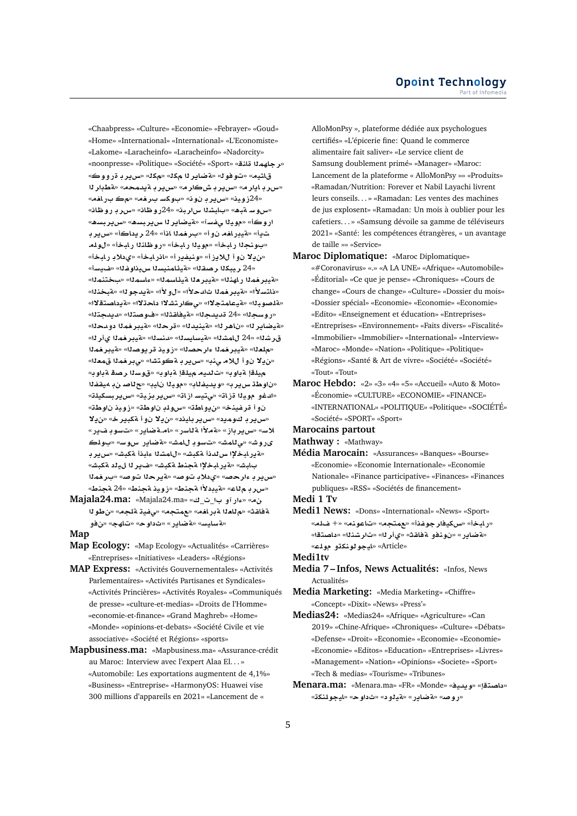«Chaabpress» «Culture» «Economie» «Febrayer» «Goud» «Home» «International» «International» «L'Economiste» «Lakome» «Laracheinfo» «Laracheinfo» «Nadorcity» «noonpresse» «Politique» «Société» «Sport» **«L'a'** «**w¤C r§H**» «**k**» «**k r§ART**» «**ww**» «**yA** «سرر بايار م» «سرير به ش كار مه «سرير به يدمحم» «قطبار 11 «42زوين» «س**رڊ نون» «ٻوکس برخم» «مڪ براخم**» «س.و سـ ةبـه» «بـابشـنا س<sub>ا</sub>ر بـن» «24رو ظـان» «س.ر بـ رو ظـان» ار و ڪأ» «موياا *يفس*آ» «ةيضاير ل<sub>ا</sub> س<sub>ا</sub>ير بسه» «سرير بسه» تڍاْ» «**قيڊرافه نو اْ» «برفم**لا اذاْ» «24 ريداكاْ» «س**رب**ر بـ «بونجلا رابخأ» «مويلا رابخأ» «روظانلا رابخأ» «لوله «**ن يـلا ن.و اللايز ا» «ونيفير ا» «انر ابخا» «ي.دلاب ر.ابخا»** «24 ريبكنا رصقنا» «ةيئامنيسنا سيداوغنا» «ضيسأ» «هيبر <del>ف</del>ملا راهنلا» «هيبر ملا هيئاسملل» «ءاسملل» «بختنملل» «دَاتسلاً!» «مقدير <del>ف</del>مِدًا ثالدحلاً!» «ل لاً أ» «مقدحو لـه «مقبحَدَدًا» «مقلصوبنا» «مقيعامتجلاا» «يكارتشلاا داحتلاا» «مقيداصتقلاا» «روسجلا» «24 قديدجلا» «**مةيفاقثلا» «فوصتل**ا» «ديدجتلا» «لقيضاير لـ» «ناهر لل» «لقينيدلل» «قر حلل» «لقيير <del>ف</del>ملل دو محلل» ق رشنا» «24 لاعشنا» «قيسليسنا» «دنسنا» «قيدر خمنا يأرنا» «ملعله» «مقيبر <del>ف</del>ملا ءار حصله» «زويد قر يوصله» «مقيبر فملا «ن1ه نوأ للام منه» «سربر به كوتشا» «مبر فمنا قمعنا» هيلقا قباوب» «تالديم ميلقا قباوب» «قوسلا رصقاقباوب» **fqy¢ }A**» «**yA yw**» «**Afyd§w**» «**r§H Ww** » «ادغو موي<sup>ر</sup>ا ةزات» «ىتيسازات» «سريربزية» «سريربسكيلة» «**Ww ywE**» «**Ww lwx**» «**WA¤§**» «**nyfr ¤**  «**س ير بان وميد» «س ير بايند» «ن يلا ن و أ ةكبير خ» «ن يلا** لاس» «س ير باز» «ةملأا ة للسر» «لم.ةضاير» «تسوب فـير» **lw** » «**Fwx C§ART**» «**JmA wF** » «**JmA¨**» «**JwC«** «هور ابخلا س لدنأ مكبش» «ل**امشل**ا ءابذأ مكبش» «س ير ب بابش» «**لاير ابخلإا لتجنط لتكبش» «ضاير ل**ا ل $\mathbf{u}$ يد لتكبشه «س**رير بـ ءار حصه» «ي.دلا بـ تـو صه» «قير حـ1 ا تـو صه» «بـر <del>ف</del>مـ1** «سرربـمللـ» «ميبدلاًا مجنط» «زويد مجنط» «24 مجنط»

**Majala24.ma:** «Majala24.ma» «\_\_ **¤Cº**» « ة فاقث» «م للعلا ة بر ا<del>ف</del>ه» «عمتجه» «ي فية قلجه» «ن طولا **¤**» «**hA**» «**w** » «**C§ART**» «**FyAFT**»

#### **Map**

- **Map Ecology:** «Map Ecology» «Actualités» «Carrières» «Entreprises» «Initiatives» «Leaders» «Régions»
- **MAP Express:** «Activités Gouvernementales» «Activités Parlementaires» «Activités Partisanes et Syndicales» «Activités Princières» «Activités Royales» «Communiqués de presse» «culture-et-medias» «Droits de l'Homme» «economie-et-finance» «Grand Maghreb» «Home» «Monde» «opinions-et-debats» «Société Civile et vie associative» «Société et Régions» «sports»
- **Mapbusiness.ma:** «Mapbusiness.ma» «Assurance-crédit au Maroc: Interview avec l'expert Alaa El. . . » «Automobile: Les exportations augmentent de 4,1%» «Business» «Entreprise» «HarmonyOS: Huawei vise 300 millions d'appareils en 2021» «Lancement de «

AlloMonPsy », plateforme dédiée aux psychologues certifiés» «L'épicerie fine: Quand le commerce alimentaire fait saliver» «Le service client de Samsung doublement primé» «Manager» «Maroc: Lancement de la plateforme « AlloMonPsy »» «Produits» «Ramadan/Nutrition: Forever et Nabil Layachi livrent leurs conseils. . . » «Ramadan: Les ventes des machines de jus explosent» «Ramadan: Un mois à oublier pour les cafetiers. . . » «Samsung dévoile sa gamme de téléviseurs 2021» «Santé: les compétences étrangères, « un avantage de taille »» «Service»

- **Maroc Diplomatique:** «Maroc Diplomatique» «#Coronavirus» «.» «A LA UNE» «Afrique» «Automobile» «Éditorial» «Ce que je pense» «Chroniques» «Cours de change» «Cours de change» «Culture» «Dossier du mois» «Dossier spécial» «Economie» «Economie» «Economie» «Edito» «Enseignement et éducation» «Entreprises» «Entreprises» «Environnement» «Faits divers» «Fiscalité» «Immobilier» «Immobilier» «International» «Interview» «Maroc» «Monde» «Nation» «Politique» «Politique» «Régions» «Santé & Art de vivre» «Société» «Société» «Tout» «Tout»
- **Maroc Hebdo:** «2» «3» «4» «5» «Accueil» «Auto & Moto» «Économie» «CULTURE» «ECONOMIE» «FINANCE» «INTERNATIONAL» «POLITIQUE» «Politique» «SOCIÉTÉ» «Société» «SPORT» «Sport»

#### **Marocains partout**

- **Mathway :** «Mathway»
- **Média Marocain:** «Assurances» «Banques» «Bourse» «Economie» «Economie Internationale» «Economie Nationale» «Finance participative» «Finances» «Finances publiques» «RSS» «Sociétés de financement»

#### **Medi 1 Tv**

**Medi1 News:** «Dons» «International» «News» «Sport» «رابخأ» «سكيفار جوغذأ» «عمتجه» «تاعونه» «+ غـاله» «**لقضاير» «نونفو لقظاقته «يأر ل**ه» «تارشنذا» «داصتقا» «**lw ¤knwwyA**» «Article»

**Medi1tv**

- **Media 7 Infos, News Actualités:** «Infos, News Actualités»
- **Media Marketing:** «Media Marketing» «Chiffre» «Concept» «Dixit» «News» «Press'»
- **Medias24:** «Medias24» «Afrique» «Agriculture» «Can 2019» «Chine-Afrique» «Chroniques» «Culture» «Débats» «Defense» «Droit» «Economie» «Economie» «Economie» «Economie» «Editos» «Education» «Entreprises» «Livres» «Management» «Nation» «Opinions» «Societe» «Sport» «Tech & medias» «Tourisme» «Tribunes»
- **Menara.ma:** «Menara.ma» «FR» «Monde» «**yd§w**» «**tOA** » «**knlwyA**» «**w** » « **¤yT**» «**C§ART**» «**}wC**»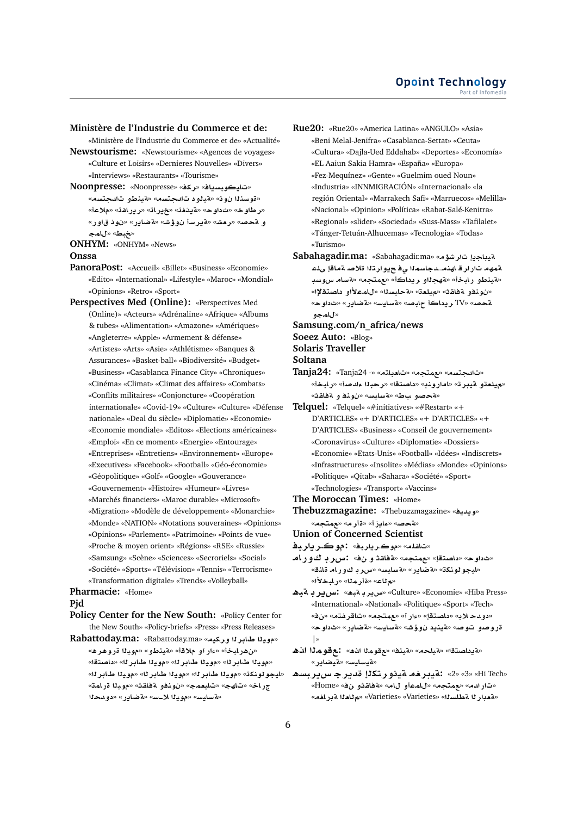## **Ministère de l'Industrie du Commerce et de:**

«Ministère de l'Industrie du Commerce et de» «Actualité» **Newstourisme:** «Newstourisme» «Agences de voyages»

«Culture et Loisirs» «Dernieres Nouvelles» «Divers» «Interviews» «Restaurants» «Tourisme»

- **Noonpresse:** «Noonpresse» «**kr**» «**A§sbwyA**» «قوسن**ن**ا نوف» «قدلود تاللحتسه» «قينطو تاللحتسه» «**رطاوخ» «ثداوح» «āينغت» «خيرات» «ريراقته «ملاعأ»** و ةحص» «رمش» «ةير سأ ن9وش» «ةضاير» «نوذ قاور» «<del>خ</del>بط» «للمج
- **ONHYM:** «ONHYM» «News»

#### **Onssa**

- **PanoraPost:** «Accueil» «Billet» «Business» «Economie» «Edito» «International» «Lifestyle» «Maroc» «Mondial» «Opinions» «Retro» «Sport»
- **Perspectives Med (Online):** «Perspectives Med (Online)» «Acteurs» «Adrénaline» «Afrique» «Albums & tubes» «Alimentation» «Amazone» «Amériques» «Angleterre» «Apple» «Armement & défense» «Artistes» «Arts» «Asie» «Athlétisme» «Banques & Assurances» «Basket-ball» «Biodiversité» «Budget» «Business» «Casablanca Finance City» «Chroniques» «Cinéma» «Climat» «Climat des affaires» «Combats» «Conflits militaires» «Conjoncture» «Coopération internationale» «Covid-19» «Culture» «Culture» «Défense nationale» «Deal du siècle» «Diplomatie» «Economie» «Economie mondiale» «Editos» «Elections américaines» «Emploi» «En ce moment» «Energie» «Entourage» «Entreprises» «Entretiens» «Environnement» «Europe» «Executives» «Facebook» «Football» «Géo-économie» «Géopolitique» «Golf» «Google» «Gouverance» «Gouvernement» «Histoire» «Humeur» «Livres» «Marchés financiers» «Maroc durable» «Microsoft» «Migration» «Modèle de développement» «Monarchie» «Monde» «NATION» «Notations souveraines» «Opinions» «Opinions» «Parlement» «Patrimoine» «Points de vue» «Proche & moyen orient» «Régions» «RSE» «Russie» «Samsung» «Scène» «Sciences» «Secroriels» «Social» «Société» «Sports» «Télévision» «Tennis» «Terrorisme»

#### «Transformation digitale» «Trends» «Volleyball» **Pharmacie:** «Home»

#### **Pjd**

**Policy Center for the New South:** «Policy Center for the New South» «Policy-briefs» «Press» «Press Releases»

Rabattoday.ma: «Rabattoday.ma» «مويدا طاير **ن**ا وركيه» «من هر ابخأ» «ءار آو ملاقأ» «**ةينطو» «موي**لا قرو هر ه» «مويذا طابر لل» «مويذا طابر لله «مويذا طابر لله «داصتقل» «ايجو لونكة» «مويذا طابر له» «مويذا طابر له» «مويذا طابر له» جر.اخ» «تاهج» «تايعمج» «نونفو ةفاقث» «مويلا قرامة» **d¤** » «**C§ART**» «**Fþ® yw**» «**FyAFT**»

**Rue20:** «Rue20» «America Latina» «ANGULO» «Asia» «Beni Melal-Jenifra» «Casablanca-Settat» «Ceuta» «Cultura» «Dajla-Ued Eddahab» «Deportes» «Economía» «EL Aaiun Sakia Hamra» «España» «Europa» «Fez-Mequínez» «Gente» «Guelmim oued Noun» «Industria» «INNMIGRACIÓN» «Internacional» «la región Oriental» «Marrakech Safi» «Marruecos» «Melilla» «Nacional» «Opinion» «Política» «Rabat-Salé-Kenitra» «Regional» «slider» «Sociedad» «Suss-Mass» «Tafilalet» «Tánger-Tetuán-Alhucemas» «Tecnologia» «Todas» «Turismo»

- **Sabahagadir.ma:** «Sabahagadir.ma» «**¥Jr §AyT** ةمهه تار ار قاهنه...دجاسم**ن**ا ي فحيوار تنا قلاصا ةماقإ يلء «<mark>هينطو رابخأ» «مهجل</mark>او ريداكأ» «عمتجم» «مسام سوسد «ن. دفو قفاقت» «ميلعة» «ةحليسك» «للمعلأاو داصتقلاا» «**w** » «**C§ART**» «**FyAFT**» «**}bA A §r** TV» «**}T ¤mA**»
- **Samsung.com/n\_africa/news**
- **Soeez Auto:** «Blog»

**Solaris Traveller**

**Soltana**

**Tanja24:** «Tanja24 -» «**tA`A**» «**tm**» «**std**» «**ميلعتو ميبرت» «امارونيه «داصتقا» «رحبن**ا ءادصأ» «رابخأ» «**تحصو بط» «ةسليس» «نونفو قفلقث**»

**Telquel:** «Telquel» «#initiatives» «#Restart» «+ D'ARTICLES» «+ D'ARTICLES» «+ D'ARTICLES» «+ D'ARTICLES» «Business» «Conseil de gouvernement» «Coronavirus» «Culture» «Diplomatie» «Dossiers» «Economie» «Etats-Unis» «Football» «Idées» «Indiscrets» «Infrastructures» «Insolite» «Médias» «Monde» «Opinions» «Politique» «Qitab» «Sahara» «Société» «Sport» «Technologies» «Transport» «Vaccins»

- **The Moroccan Times:** «Home»
- **Thebuzzmagazine:** «Thebuzzmagazine» «**yd§w**» «**لقحص» «ءايز أ» «قار مه «لعمتجم**»
- **Union of Concerned Scientist**
- **br§r.w:** «**br§r**.**w**» «**lfA**»
- «ثداوح» «داصتقإ» «مهتجه» «ةفاقذ و ن&» :سرر بـ كور امـ «ايجو لونكة» «<mark>ةضاير» «ةسايس» «سرر بـ كورام قان</mark>ق» «م *ت*اع» «ةأر مثل» «رابخلاًا»
- «Culture» «Economie» «Hiba Press» «سربر د قیه» : *غیر بود و ق*یه «International» «National» «Politique» «Sport» «Tech» «» «**tfrA**» «**tm**» «**Cº**» «**tOA** » «**® d¤** » «**w** » «**C§ART**» «**FyAFT**» «**J¥¤ §nyT**» «**}w ¤}wC** |»
- **¡@ mw:** «**¡@ mw**» «**nyT**» «**lyT**» «**tOA §T**» «**ت**يسايس» «قيضاير»
- **¡sbr§H r§d ktr¤yT ryT:** «2» «3» «Hi Tech» «تار ادم» «عمتجم» «للمعاول لله» «مةفلقثول نف» «Home» «بة ددار لا **مطلسل**ك» «Varieties» «Varieties» «مطلسل»